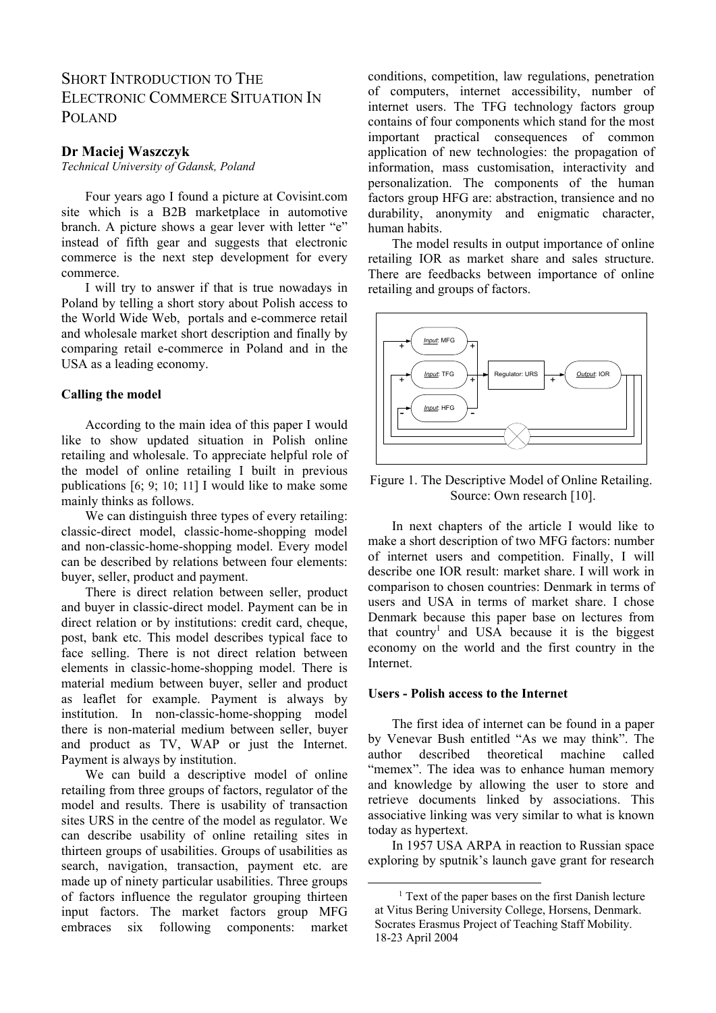# SHORT INTRODUCTION TO THE ELECTRONIC COMMERCE SITUATION IN POLAND

### **Dr Maciej Waszczyk**

*Technical University of Gdansk, Poland* 

Four years ago I found a picture at Covisint.com site which is a B2B marketplace in automotive branch. A picture shows a gear lever with letter "e" instead of fifth gear and suggests that electronic commerce is the next step development for every commerce.

I will try to answer if that is true nowadays in Poland by telling a short story about Polish access to the World Wide Web, portals and e-commerce retail and wholesale market short description and finally by comparing retail e-commerce in Poland and in the USA as a leading economy.

### **Calling the model**

According to the main idea of this paper I would like to show updated situation in Polish online retailing and wholesale. To appreciate helpful role of the model of online retailing I built in previous publications [6; 9; 10; 11] I would like to make some mainly thinks as follows.

We can distinguish three types of every retailing: classic-direct model, classic-home-shopping model and non-classic-home-shopping model. Every model can be described by relations between four elements: buyer, seller, product and payment.

There is direct relation between seller, product and buyer in classic-direct model. Payment can be in direct relation or by institutions: credit card, cheque, post, bank etc. This model describes typical face to face selling. There is not direct relation between elements in classic-home-shopping model. There is material medium between buyer, seller and product as leaflet for example. Payment is always by institution. In non-classic-home-shopping model there is non-material medium between seller, buyer and product as TV, WAP or just the Internet. Payment is always by institution.

We can build a descriptive model of online retailing from three groups of factors, regulator of the model and results. There is usability of transaction sites URS in the centre of the model as regulator. We can describe usability of online retailing sites in thirteen groups of usabilities. Groups of usabilities as search, navigation, transaction, payment etc. are made up of ninety particular usabilities. Three groups of factors influence the regulator grouping thirteen input factors. The market factors group MFG embraces six following components: market conditions, competition, law regulations, penetration of computers, internet accessibility, number of internet users. The TFG technology factors group contains of four components which stand for the most important practical consequences of common application of new technologies: the propagation of information, mass customisation, interactivity and personalization. The components of the human factors group HFG are: abstraction, transience and no durability, anonymity and enigmatic character, human habits.

The model results in output importance of online retailing IOR as market share and sales structure. There are feedbacks between importance of online retailing and groups of factors.



Figure 1. The Descriptive Model of Online Retailing. Source: Own research [10].

In next chapters of the article I would like to make a short description of two MFG factors: number of internet users and competition. Finally, I will describe one IOR result: market share. I will work in comparison to chosen countries: Denmark in terms of users and USA in terms of market share. I chose Denmark because this paper base on lectures from that country<sup>1</sup> and USA because it is the biggest economy on the world and the first country in the Internet.

### **Users - Polish access to the Internet**

The first idea of internet can be found in a paper by Venevar Bush entitled "As we may think". The author described theoretical machine called "memex". The idea was to enhance human memory and knowledge by allowing the user to store and retrieve documents linked by associations. This associative linking was very similar to what is known today as hypertext.

In 1957 USA ARPA in reaction to Russian space exploring by sputnik's launch gave grant for research

<sup>&</sup>lt;sup>1</sup> Text of the paper bases on the first Danish lecture at Vitus Bering University College, Horsens, Denmark. Socrates Erasmus Project of Teaching Staff Mobility. 18-23 April 2004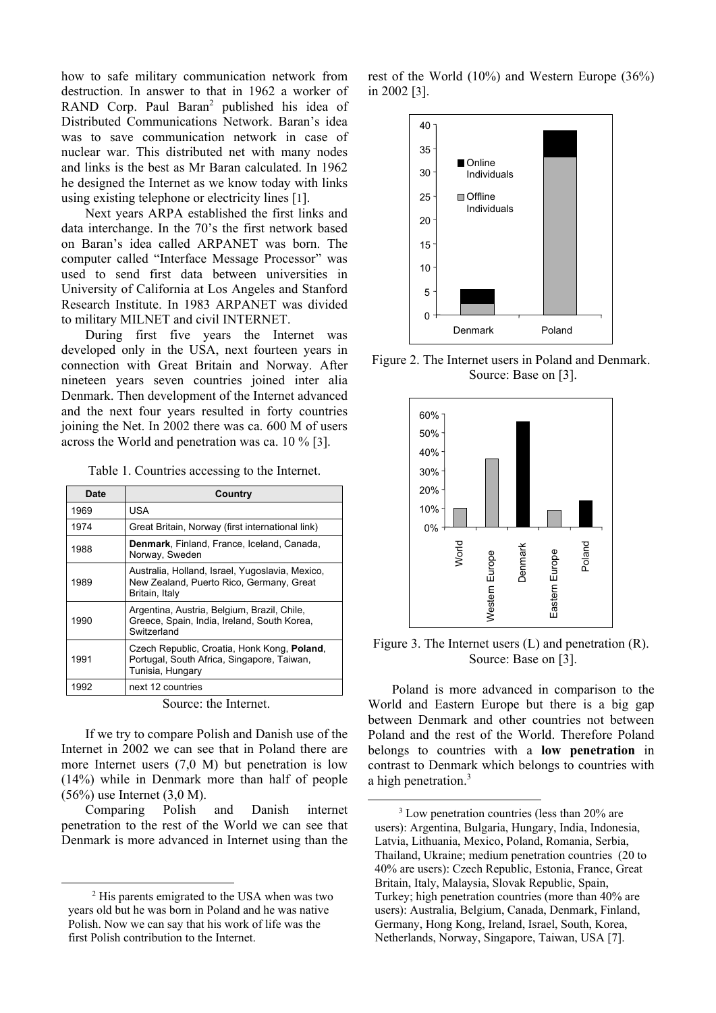how to safe military communication network from destruction. In answer to that in 1962 a worker of RAND Corp. Paul Baran<sup>2</sup> published his idea of Distributed Communications Network. Baran's idea was to save communication network in case of nuclear war. This distributed net with many nodes and links is the best as Mr Baran calculated. In 1962 he designed the Internet as we know today with links using existing telephone or electricity lines [1].

Next years ARPA established the first links and data interchange. In the 70's the first network based on Baran's idea called ARPANET was born. The computer called "Interface Message Processor" was used to send first data between universities in University of California at Los Angeles and Stanford Research Institute. In 1983 ARPANET was divided to military MILNET and civil INTERNET.

During first five years the Internet was developed only in the USA, next fourteen years in connection with Great Britain and Norway. After nineteen years seven countries joined inter alia Denmark. Then development of the Internet advanced and the next four years resulted in forty countries joining the Net. In 2002 there was ca. 600 M of users across the World and penetration was ca. 10 % [3].

Table 1. Countries accessing to the Internet.

| Date | Country                                                                                                       |
|------|---------------------------------------------------------------------------------------------------------------|
| 1969 | USA                                                                                                           |
| 1974 | Great Britain, Norway (first international link)                                                              |
| 1988 | Denmark, Finland, France, Iceland, Canada,<br>Norway, Sweden                                                  |
| 1989 | Australia, Holland, Israel, Yugoslavia, Mexico,<br>New Zealand, Puerto Rico, Germany, Great<br>Britain, Italy |
| 1990 | Argentina, Austria, Belgium, Brazil, Chile,<br>Greece, Spain, India, Ireland, South Korea,<br>Switzerland     |
| 1991 | Czech Republic, Croatia, Honk Kong, Poland,<br>Portugal, South Africa, Singapore, Taiwan,<br>Tunisia, Hungary |
| 1992 | next 12 countries                                                                                             |

Source: the Internet.

If we try to compare Polish and Danish use of the Internet in 2002 we can see that in Poland there are more Internet users (7,0 M) but penetration is low (14%) while in Denmark more than half of people (56%) use Internet (3,0 M).

Comparing Polish and Danish internet penetration to the rest of the World we can see that Denmark is more advanced in Internet using than the

rest of the World (10%) and Western Europe (36%) in 2002 [3].



Figure 2. The Internet users in Poland and Denmark. Source: Base on [3].



Figure 3. The Internet users (L) and penetration (R). Source: Base on [3].

Poland is more advanced in comparison to the World and Eastern Europe but there is a big gap between Denmark and other countries not between Poland and the rest of the World. Therefore Poland belongs to countries with a **low penetration** in contrast to Denmark which belongs to countries with a high penetration.<sup>3</sup>

<sup>&</sup>lt;sup>2</sup> His parents emigrated to the USA when was two years old but he was born in Poland and he was native Polish. Now we can say that his work of life was the first Polish contribution to the Internet.

<sup>&</sup>lt;sup>3</sup> Low penetration countries (less than 20% are users): Argentina, Bulgaria, Hungary, India, Indonesia, Latvia, Lithuania, Mexico, Poland, Romania, Serbia, Thailand, Ukraine; medium penetration countries (20 to 40% are users): Czech Republic, Estonia, France, Great Britain, Italy, Malaysia, Slovak Republic, Spain, Turkey; high penetration countries (more than 40% are users): Australia, Belgium, Canada, Denmark, Finland, Germany, Hong Kong, Ireland, Israel, South, Korea, Netherlands, Norway, Singapore, Taiwan, USA [7].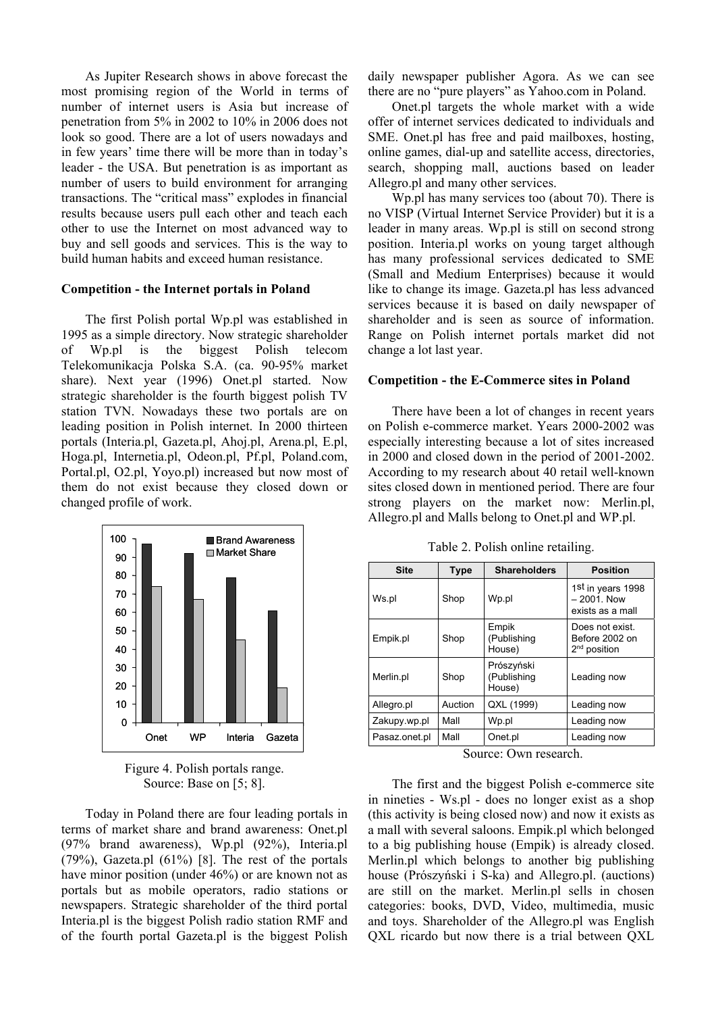As Jupiter Research shows in above forecast the most promising region of the World in terms of number of internet users is Asia but increase of penetration from 5% in 2002 to 10% in 2006 does not look so good. There are a lot of users nowadays and in few years' time there will be more than in today's leader - the USA. But penetration is as important as number of users to build environment for arranging transactions. The "critical mass" explodes in financial results because users pull each other and teach each other to use the Internet on most advanced way to buy and sell goods and services. This is the way to build human habits and exceed human resistance.

#### **Competition - the Internet portals in Poland**

The first Polish portal Wp.pl was established in 1995 as a simple directory. Now strategic shareholder of Wp.pl is the biggest Polish telecom Telekomunikacja Polska S.A. (ca. 90-95% market share). Next year (1996) Onet.pl started. Now strategic shareholder is the fourth biggest polish TV station TVN. Nowadays these two portals are on leading position in Polish internet. In 2000 thirteen portals (Interia.pl, Gazeta.pl, Ahoj.pl, Arena.pl, E.pl, Hoga.pl, Internetia.pl, Odeon.pl, Pf.pl, Poland.com, Portal.pl, O2.pl, Yoyo.pl) increased but now most of them do not exist because they closed down or changed profile of work.



Figure 4. Polish portals range. Source: Base on [5; 8].

Today in Poland there are four leading portals in terms of market share and brand awareness: Onet.pl (97% brand awareness), Wp.pl (92%), Interia.pl (79%), Gazeta.pl (61%) [8]. The rest of the portals have minor position (under 46%) or are known not as portals but as mobile operators, radio stations or newspapers. Strategic shareholder of the third portal Interia.pl is the biggest Polish radio station RMF and of the fourth portal Gazeta.pl is the biggest Polish daily newspaper publisher Agora. As we can see there are no "pure players" as Yahoo.com in Poland.

Onet.pl targets the whole market with a wide offer of internet services dedicated to individuals and SME. Onet.pl has free and paid mailboxes, hosting, online games, dial-up and satellite access, directories, search, shopping mall, auctions based on leader Allegro.pl and many other services.

Wp.pl has many services too (about 70). There is no VISP (Virtual Internet Service Provider) but it is a leader in many areas. Wp.pl is still on second strong position. Interia.pl works on young target although has many professional services dedicated to SME (Small and Medium Enterprises) because it would like to change its image. Gazeta.pl has less advanced services because it is based on daily newspaper of shareholder and is seen as source of information. Range on Polish internet portals market did not change a lot last year.

#### **Competition - the E-Commerce sites in Poland**

There have been a lot of changes in recent years on Polish e-commerce market. Years 2000-2002 was especially interesting because a lot of sites increased in 2000 and closed down in the period of 2001-2002. According to my research about 40 retail well-known sites closed down in mentioned period. There are four strong players on the market now: Merlin.pl, Allegro.pl and Malls belong to Onet.pl and WP.pl.

| <b>Site</b>   | <b>Type</b> | <b>Shareholders</b>                 | <b>Position</b>                                                    |  |
|---------------|-------------|-------------------------------------|--------------------------------------------------------------------|--|
| Ws.pl         | Shop        | Wp.pl                               | 1 <sup>st</sup> in years 1998<br>$-2001$ . Now<br>exists as a mall |  |
| Empik.pl      | Shop        | Empik<br>(Publishing<br>House)      | Does not exist.<br>Before 2002 on<br>$2nd$ position                |  |
| Merlin.pl     | Shop        | Prószyński<br>(Publishing<br>House) | Leading now                                                        |  |
| Allegro.pl    | Auction     | QXL (1999)                          | Leading now                                                        |  |
| Zakupy.wp.pl  | Mall        | Wp.pl                               | Leading now                                                        |  |
| Pasaz.onet.pl | Mall        | Onet.pl                             | Leading now                                                        |  |

Table 2. Polish online retailing.

Source: Own research.

The first and the biggest Polish e-commerce site in nineties - Ws.pl - does no longer exist as a shop (this activity is being closed now) and now it exists as a mall with several saloons. Empik.pl which belonged to a big publishing house (Empik) is already closed. Merlin.pl which belongs to another big publishing house (Prószyński i S-ka) and Allegro.pl. (auctions) are still on the market. Merlin.pl sells in chosen categories: books, DVD, Video, multimedia, music and toys. Shareholder of the Allegro.pl was English QXL ricardo but now there is a trial between QXL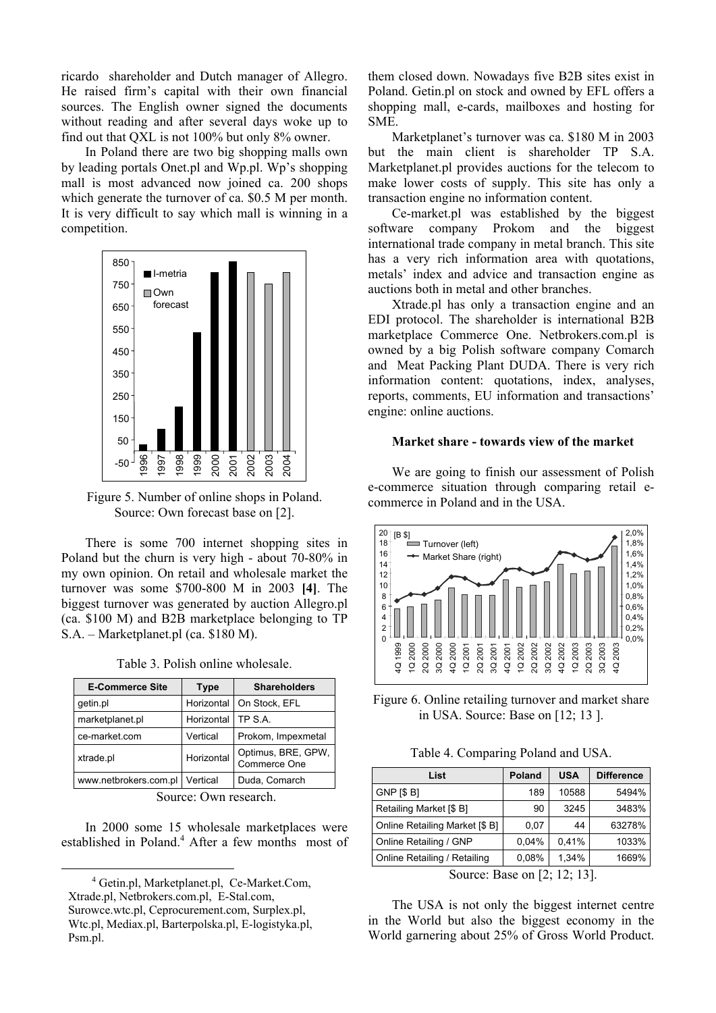ricardo shareholder and Dutch manager of Allegro. He raised firm's capital with their own financial sources. The English owner signed the documents without reading and after several days woke up to find out that QXL is not 100% but only 8% owner.

In Poland there are two big shopping malls own by leading portals Onet.pl and Wp.pl. Wp's shopping mall is most advanced now joined ca. 200 shops which generate the turnover of ca. \$0.5 M per month. It is very difficult to say which mall is winning in a competition.



Figure 5. Number of online shops in Poland. Source: Own forecast base on [2].

There is some 700 internet shopping sites in Poland but the churn is very high - about 70-80% in my own opinion. On retail and wholesale market the turnover was some \$700-800 M in 2003 **[4]**. The biggest turnover was generated by auction Allegro.pl (ca. \$100 M) and B2B marketplace belonging to TP S.A. – Marketplanet.pl (ca. \$180 M).

| <b>E-Commerce Site</b> | <b>Type</b> | <b>Shareholders</b>                |  |
|------------------------|-------------|------------------------------------|--|
| getin.pl               | Horizontal  | On Stock, EFL                      |  |
| marketplanet.pl        | Horizontal  | TP S.A.                            |  |
| ce-market.com          | Vertical    | Prokom, Impexmetal                 |  |
| xtrade.pl              | Horizontal  | Optimus, BRE, GPW,<br>Commerce One |  |
| www.netbrokers.com.pl  | Vertical    | Duda, Comarch                      |  |

Table 3. Polish online wholesale.

Source: Own research.

In 2000 some 15 wholesale marketplaces were established in Poland.<sup>4</sup> After a few months most of them closed down. Nowadays five B2B sites exist in Poland. Getin.pl on stock and owned by EFL offers a shopping mall, e-cards, mailboxes and hosting for SME.

Marketplanet's turnover was ca. \$180 M in 2003 but the main client is shareholder TP S.A. Marketplanet.pl provides auctions for the telecom to make lower costs of supply. This site has only a transaction engine no information content.

Ce-market.pl was established by the biggest software company Prokom and the biggest international trade company in metal branch. This site has a very rich information area with quotations, metals' index and advice and transaction engine as auctions both in metal and other branches.

Xtrade.pl has only a transaction engine and an EDI protocol. The shareholder is international B2B marketplace Commerce One. Netbrokers.com.pl is owned by a big Polish software company Comarch and Meat Packing Plant DUDA. There is very rich information content: quotations, index, analyses, reports, comments, EU information and transactions' engine: online auctions.

## **Market share - towards view of the market**

We are going to finish our assessment of Polish e-commerce situation through comparing retail ecommerce in Poland and in the USA.



Figure 6. Online retailing turnover and market share in USA. Source: Base on [12; 13 ].

Table 4. Comparing Poland and USA.

| List                           | Poland | <b>USA</b> | <b>Difference</b> |
|--------------------------------|--------|------------|-------------------|
| GNP [\$ B]                     | 189    | 10588      | 5494%             |
| Retailing Market [\$ B]        | 90     | 3245       | 3483%             |
| Online Retailing Market [\$ B] | 0.07   | 44         | 63278%            |
| Online Retailing / GNP         | 0.04%  | 0,41%      | 1033%             |
| Online Retailing / Retailing   | 0,08%  | 1,34%      | 1669%             |
|                                |        |            |                   |

Source: Base on [2; 12; 13].

The USA is not only the biggest internet centre in the World but also the biggest economy in the World garnering about 25% of Gross World Product.

<sup>4</sup> Getin.pl, Marketplanet.pl, Ce-Market.Com, Xtrade.pl, Netbrokers.com.pl, E-Stal.com, Surowce.wtc.pl, Ceprocurement.com, Surplex.pl, Wtc.pl, Mediax.pl, Barterpolska.pl, E-logistyka.pl, Psm.pl.